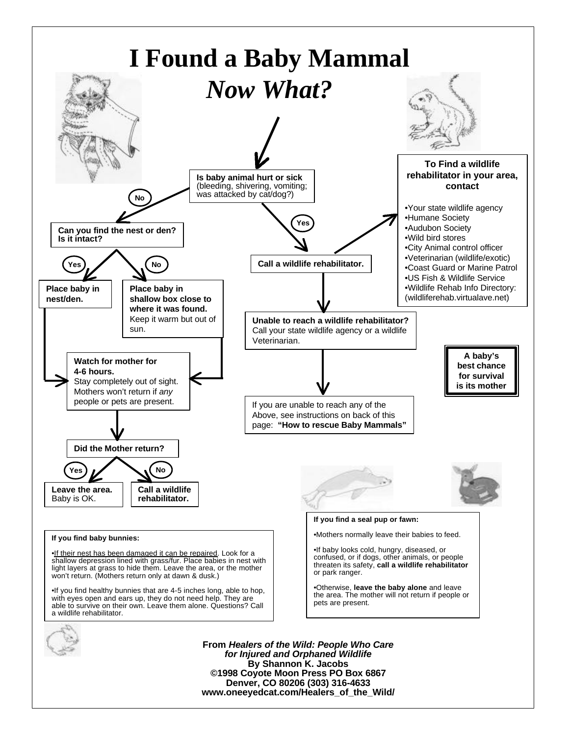